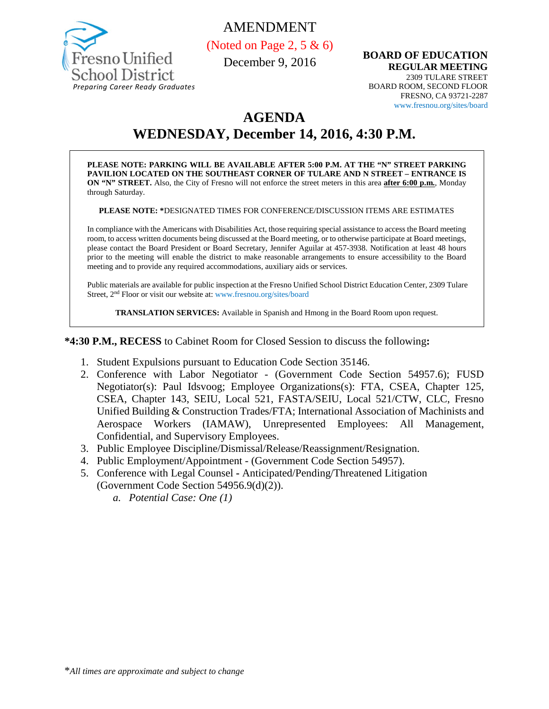

## AMENDMENT

(Noted on Page 2, 5  $\&$  6)

December 9, 2016

**BOARD OF EDUCATION REGULAR MEETING** 2309 TULARE STREET BOARD ROOM, SECOND FLOOR FRESNO, CA 93721-2287 www.fresnou.org/sites/board

# **AGENDA**

# **WEDNESDAY, December 14, 2016, 4:30 P.M.**

**PLEASE NOTE: PARKING WILL BE AVAILABLE AFTER 5:00 P.M. AT THE "N" STREET PARKING PAVILION LOCATED ON THE SOUTHEAST CORNER OF TULARE AND N STREET – ENTRANCE IS ON "N" STREET.** Also, the City of Fresno will not enforce the street meters in this area **after 6:00 p.m.**, Monday through Saturday.

**PLEASE NOTE: \***DESIGNATED TIMES FOR CONFERENCE/DISCUSSION ITEMS ARE ESTIMATES

In compliance with the Americans with Disabilities Act, those requiring special assistance to access the Board meeting room, to access written documents being discussed at the Board meeting, or to otherwise participate at Board meetings, please contact the Board President or Board Secretary, Jennifer Aguilar at 457-3938. Notification at least 48 hours prior to the meeting will enable the district to make reasonable arrangements to ensure accessibility to the Board meeting and to provide any required accommodations, auxiliary aids or services.

Public materials are available for public inspection at the Fresno Unified School District Education Center, 2309 Tulare Street, 2nd Floor or visit our website at: www.fresnou.org/sites/board

**TRANSLATION SERVICES:** Available in Spanish and Hmong in the Board Room upon request.

**\*4:30 P.M., RECESS** to Cabinet Room for Closed Session to discuss the following**:**

- 1. Student Expulsions pursuant to Education Code Section 35146.
- 2. Conference with Labor Negotiator (Government Code Section 54957.6); FUSD Negotiator(s): Paul Idsvoog; Employee Organizations(s): FTA, CSEA, Chapter 125, CSEA, Chapter 143, SEIU, Local 521, FASTA/SEIU, Local 521/CTW, CLC, Fresno Unified Building & Construction Trades/FTA; International Association of Machinists and Aerospace Workers (IAMAW), Unrepresented Employees: All Management, Confidential, and Supervisory Employees.
- 3. Public Employee Discipline/Dismissal/Release/Reassignment/Resignation.
- 4. Public Employment/Appointment (Government Code Section 54957).
- 5. Conference with Legal Counsel **-** Anticipated/Pending/Threatened Litigation (Government Code Section 54956.9(d)(2)).
	- *a. Potential Case: One (1)*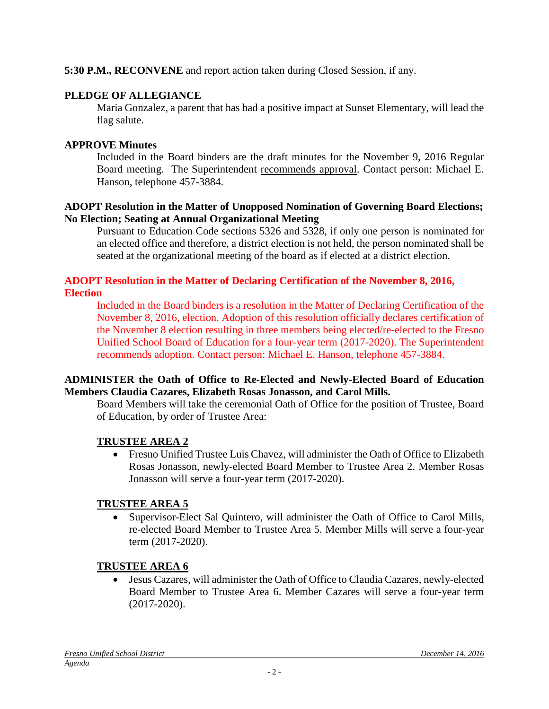#### **5:30 P.M., RECONVENE** and report action taken during Closed Session, if any.

#### **PLEDGE OF ALLEGIANCE**

Maria Gonzalez, a parent that has had a positive impact at Sunset Elementary, will lead the flag salute.

#### **APPROVE Minutes**

Included in the Board binders are the draft minutes for the November 9, 2016 Regular Board meeting. The Superintendent recommends approval. Contact person: Michael E. Hanson, telephone 457-3884.

#### **ADOPT Resolution in the Matter of Unopposed Nomination of Governing Board Elections; No Election; Seating at Annual Organizational Meeting**

Pursuant to Education Code sections 5326 and 5328, if only one person is nominated for an elected office and therefore, a district election is not held, the person nominated shall be seated at the organizational meeting of the board as if elected at a district election.

#### **ADOPT Resolution in the Matter of Declaring Certification of the November 8, 2016, Election**

Included in the Board binders is a resolution in the Matter of Declaring Certification of the November 8, 2016, election. Adoption of this resolution officially declares certification of the November 8 election resulting in three members being elected/re-elected to the Fresno Unified School Board of Education for a four-year term (2017-2020). The Superintendent recommends adoption. Contact person: Michael E. Hanson, telephone 457-3884.

#### **ADMINISTER the Oath of Office to Re-Elected and Newly-Elected Board of Education Members Claudia Cazares, Elizabeth Rosas Jonasson, and Carol Mills.**

Board Members will take the ceremonial Oath of Office for the position of Trustee, Board of Education, by order of Trustee Area:

#### **TRUSTEE AREA 2**

• Fresno Unified Trustee Luis Chavez, will administer the Oath of Office to Elizabeth Rosas Jonasson, newly-elected Board Member to Trustee Area 2. Member Rosas Jonasson will serve a four-year term (2017-2020).

#### **TRUSTEE AREA 5**

• Supervisor-Elect Sal Quintero, will administer the Oath of Office to Carol Mills, re-elected Board Member to Trustee Area 5. Member Mills will serve a four-year term (2017-2020).

## **TRUSTEE AREA 6**

• Jesus Cazares, will administer the Oath of Office to Claudia Cazares, newly-elected Board Member to Trustee Area 6. Member Cazares will serve a four-year term (2017-2020).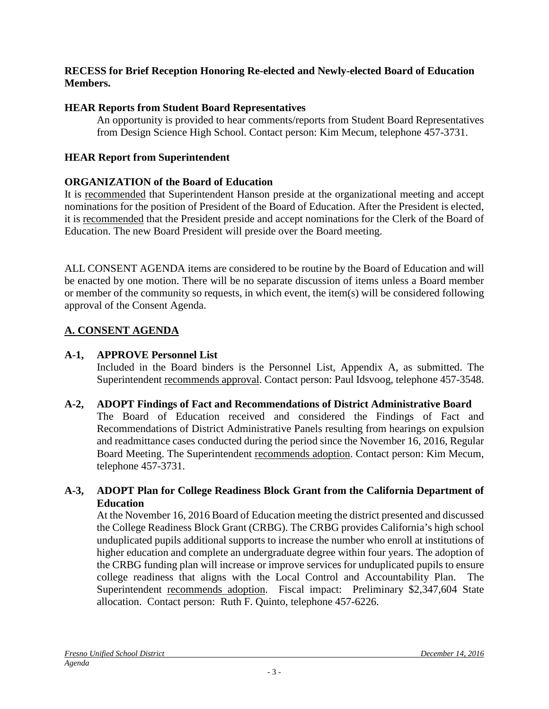#### **RECESS for Brief Reception Honoring Re-elected and Newly-elected Board of Education Members.**

## **HEAR Reports from Student Board Representatives**

An opportunity is provided to hear comments/reports from Student Board Representatives from Design Science High School. Contact person: Kim Mecum, telephone 457-3731.

## **HEAR Report from Superintendent**

## **ORGANIZATION of the Board of Education**

It is recommended that Superintendent Hanson preside at the organizational meeting and accept nominations for the position of President of the Board of Education. After the President is elected, it is recommended that the President preside and accept nominations for the Clerk of the Board of Education. The new Board President will preside over the Board meeting.

ALL CONSENT AGENDA items are considered to be routine by the Board of Education and will be enacted by one motion. There will be no separate discussion of items unless a Board member or member of the community so requests, in which event, the item(s) will be considered following approval of the Consent Agenda.

## **A. CONSENT AGENDA**

## **A-1, APPROVE Personnel List**

Included in the Board binders is the Personnel List, Appendix A, as submitted. The Superintendent recommends approval. Contact person: Paul Idsvoog, telephone 457-3548.

## **A-2, ADOPT Findings of Fact and Recommendations of District Administrative Board**

The Board of Education received and considered the Findings of Fact and Recommendations of District Administrative Panels resulting from hearings on expulsion and readmittance cases conducted during the period since the November 16, 2016, Regular Board Meeting. The Superintendent recommends adoption. Contact person: Kim Mecum, telephone 457-3731.

## **A-3, ADOPT Plan for College Readiness Block Grant from the California Department of Education**

At the November 16, 2016 Board of Education meeting the district presented and discussed the College Readiness Block Grant (CRBG). The CRBG provides California's high school unduplicated pupils additional supports to increase the number who enroll at institutions of higher education and complete an undergraduate degree within four years. The adoption of the CRBG funding plan will increase or improve services for unduplicated pupils to ensure college readiness that aligns with the Local Control and Accountability Plan. The Superintendent recommends adoption. Fiscal impact: Preliminary \$2,347,604 State allocation. Contact person: Ruth F. Quinto, telephone 457-6226.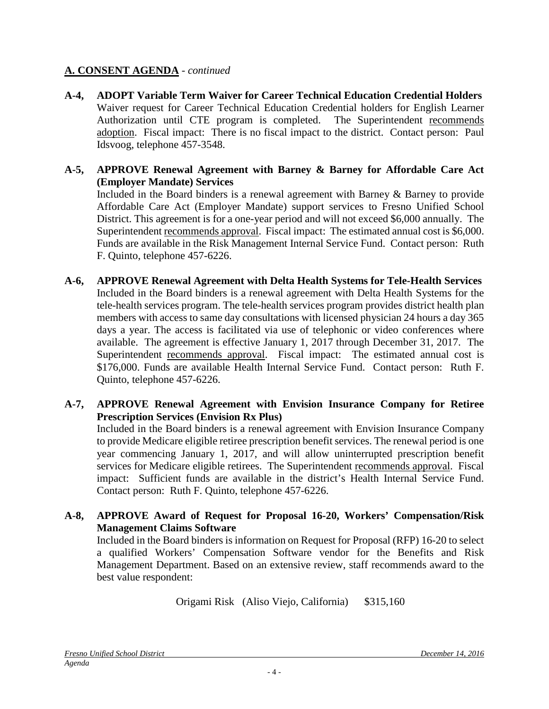#### **A. CONSENT AGENDA** *- continued*

- **A-4, ADOPT Variable Term Waiver for Career Technical Education Credential Holders** Waiver request for Career Technical Education Credential holders for English Learner Authorization until CTE program is completed. The Superintendent recommends adoption. Fiscal impact: There is no fiscal impact to the district. Contact person: Paul Idsvoog, telephone 457-3548.
- **A-5, APPROVE Renewal Agreement with Barney & Barney for Affordable Care Act (Employer Mandate) Services**

Included in the Board binders is a renewal agreement with Barney & Barney to provide Affordable Care Act (Employer Mandate) support services to Fresno Unified School District. This agreement is for a one-year period and will not exceed \$6,000 annually. The Superintendent recommends approval. Fiscal impact: The estimated annual cost is \$6,000. Funds are available in the Risk Management Internal Service Fund. Contact person: Ruth F. Quinto, telephone 457-6226.

- **A-6, APPROVE Renewal Agreement with Delta Health Systems for Tele-Health Services** Included in the Board binders is a renewal agreement with Delta Health Systems for the tele-health services program. The tele-health services program provides district health plan members with access to same day consultations with licensed physician 24 hours a day 365 days a year. The access is facilitated via use of telephonic or video conferences where available. The agreement is effective January 1, 2017 through December 31, 2017. The Superintendent recommends approval. Fiscal impact: The estimated annual cost is \$176,000. Funds are available Health Internal Service Fund. Contact person: Ruth F. Quinto, telephone 457-6226.
- **A-7, APPROVE Renewal Agreement with Envision Insurance Company for Retiree Prescription Services (Envision Rx Plus)**

Included in the Board binders is a renewal agreement with Envision Insurance Company to provide Medicare eligible retiree prescription benefit services. The renewal period is one year commencing January 1, 2017, and will allow uninterrupted prescription benefit services for Medicare eligible retirees. The Superintendent recommends approval. Fiscal impact: Sufficient funds are available in the district's Health Internal Service Fund. Contact person: Ruth F. Quinto, telephone 457-6226.

**A-8, APPROVE Award of Request for Proposal 16-20, Workers' Compensation/Risk Management Claims Software**

Included in the Board binders is information on Request for Proposal (RFP) 16-20 to select a qualified Workers' Compensation Software vendor for the Benefits and Risk Management Department. Based on an extensive review, staff recommends award to the best value respondent:

Origami Risk (Aliso Viejo, California) \$315,160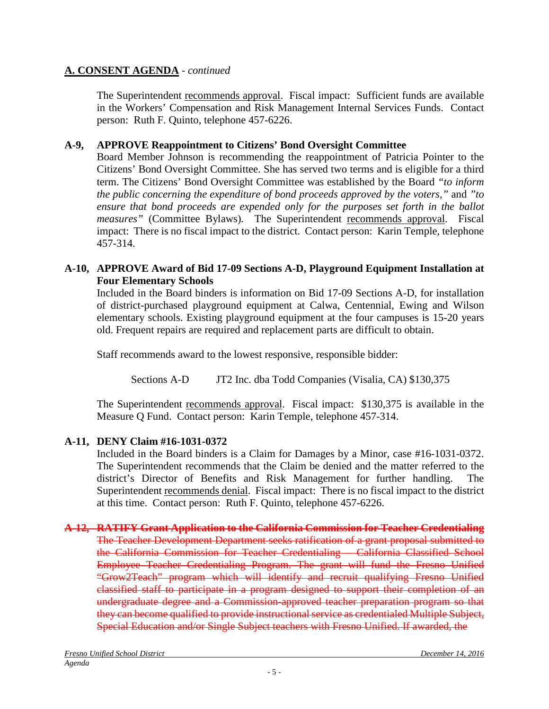## **A. CONSENT AGENDA** *- continued*

The Superintendent recommends approval. Fiscal impact: Sufficient funds are available in the Workers' Compensation and Risk Management Internal Services Funds. Contact person: Ruth F. Quinto, telephone 457-6226.

## **A-9, APPROVE Reappointment to Citizens' Bond Oversight Committee**

Board Member Johnson is recommending the reappointment of Patricia Pointer to the Citizens' Bond Oversight Committee. She has served two terms and is eligible for a third term. The Citizens' Bond Oversight Committee was established by the Board *"to inform the public concerning the expenditure of bond proceeds approved by the voters,"* and *"to ensure that bond proceeds are expended only for the purposes set forth in the ballot measures"* (Committee Bylaws)*.* The Superintendent recommends approval. Fiscal impact: There is no fiscal impact to the district. Contact person: Karin Temple, telephone 457-314.

## **A-10, APPROVE Award of Bid 17-09 Sections A-D, Playground Equipment Installation at Four Elementary Schools**

Included in the Board binders is information on Bid 17-09 Sections A-D, for installation of district-purchased playground equipment at Calwa, Centennial, Ewing and Wilson elementary schools. Existing playground equipment at the four campuses is 15-20 years old. Frequent repairs are required and replacement parts are difficult to obtain.

Staff recommends award to the lowest responsive, responsible bidder:

Sections A-D JT2 Inc. dba Todd Companies (Visalia, CA) \$130,375

The Superintendent recommends approval. Fiscal impact: \$130,375 is available in the Measure Q Fund. Contact person: Karin Temple, telephone 457-314.

## **A-11, DENY Claim #16-1031-0372**

Included in the Board binders is a Claim for Damages by a Minor, case #16-1031-0372. The Superintendent recommends that the Claim be denied and the matter referred to the district's Director of Benefits and Risk Management for further handling. The Superintendent recommends denial. Fiscal impact: There is no fiscal impact to the district at this time. Contact person: Ruth F. Quinto, telephone 457-6226.

#### **A-12, RATIFY Grant Application to the California Commission for Teacher Credentialing** The Teacher Development Department seeks ratification of a grant proposal submitted to the California Commission for Teacher Credentialing – California Classified School Employee Teacher Credentialing Program. The grant will fund the Fresno Unified "Grow2Teach" program which will identify and recruit qualifying Fresno Unified classified staff to participate in a program designed to support their completion of an undergraduate degree and a Commission-approved teacher preparation program so that they can become qualified to provide instructional service as credentialed Multiple Subject, Special Education and/or Single Subject teachers with Fresno Unified. If awarded, the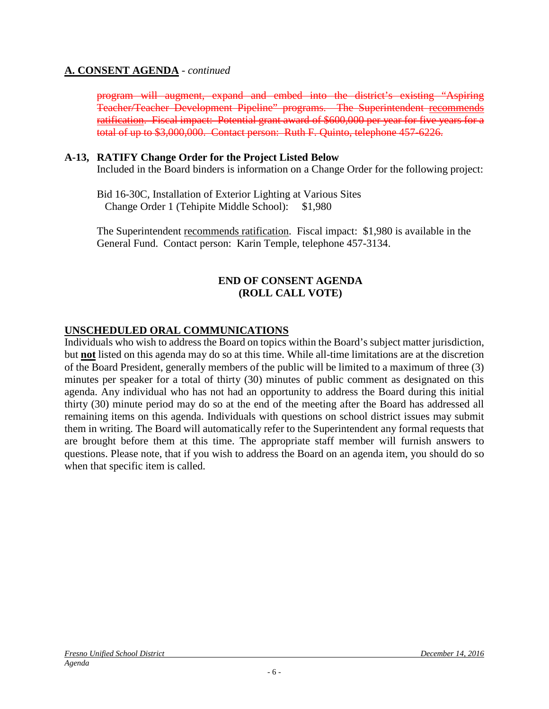#### **A. CONSENT AGENDA** *- continued*

program will augment, expand and embed into the district's existing "Aspiring Teacher/Teacher Development Pipeline" programs. The Superintendent recommends ratification. Fiscal impact: Potential grant award of \$600,000 per year for five years for a total of up to \$3,000,000. Contact person: Ruth F. Quinto, telephone 457-6226.

#### **A-13, RATIFY Change Order for the Project Listed Below**

Included in the Board binders is information on a Change Order for the following project:

Bid 16-30C, Installation of Exterior Lighting at Various Sites Change Order 1 (Tehipite Middle School): \$1,980

The Superintendent recommends ratification. Fiscal impact: \$1,980 is available in the General Fund. Contact person: Karin Temple, telephone 457-3134.

#### **END OF CONSENT AGENDA (ROLL CALL VOTE)**

## **UNSCHEDULED ORAL COMMUNICATIONS**

Individuals who wish to address the Board on topics within the Board's subject matter jurisdiction, but **not** listed on this agenda may do so at this time. While all-time limitations are at the discretion of the Board President, generally members of the public will be limited to a maximum of three (3) minutes per speaker for a total of thirty (30) minutes of public comment as designated on this agenda. Any individual who has not had an opportunity to address the Board during this initial thirty (30) minute period may do so at the end of the meeting after the Board has addressed all remaining items on this agenda. Individuals with questions on school district issues may submit them in writing. The Board will automatically refer to the Superintendent any formal requests that are brought before them at this time. The appropriate staff member will furnish answers to questions. Please note, that if you wish to address the Board on an agenda item, you should do so when that specific item is called.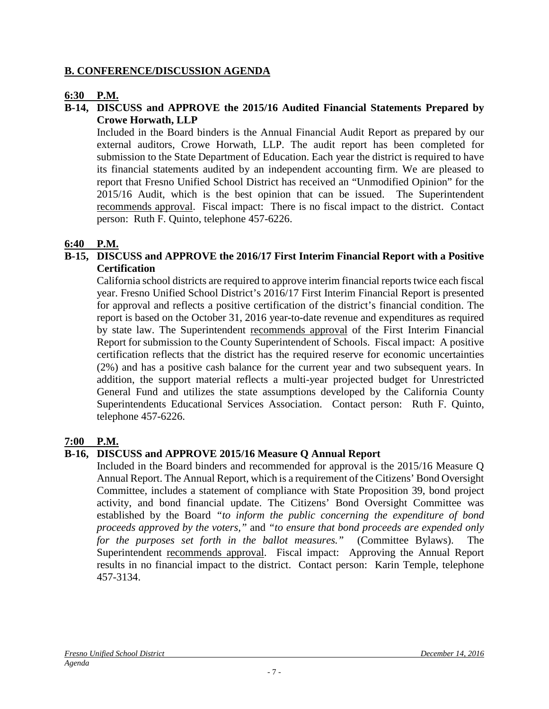#### **B. CONFERENCE/DISCUSSION AGENDA**

#### **6:30 P.M.**

#### **B-14, DISCUSS and APPROVE the 2015/16 Audited Financial Statements Prepared by Crowe Horwath, LLP**

Included in the Board binders is the Annual Financial Audit Report as prepared by our external auditors, Crowe Horwath, LLP. The audit report has been completed for submission to the State Department of Education. Each year the district is required to have its financial statements audited by an independent accounting firm. We are pleased to report that Fresno Unified School District has received an "Unmodified Opinion" for the 2015/16 Audit, which is the best opinion that can be issued. The Superintendent recommends approval. Fiscal impact: There is no fiscal impact to the district. Contact person: Ruth F. Quinto, telephone 457-6226.

#### **6:40 P.M.**

#### **B-15, DISCUSS and APPROVE the 2016/17 First Interim Financial Report with a Positive Certification**

California school districts are required to approve interim financial reports twice each fiscal year. Fresno Unified School District's 2016/17 First Interim Financial Report is presented for approval and reflects a positive certification of the district's financial condition. The report is based on the October 31, 2016 year-to-date revenue and expenditures as required by state law. The Superintendent recommends approval of the First Interim Financial Report for submission to the County Superintendent of Schools. Fiscal impact: A positive certification reflects that the district has the required reserve for economic uncertainties (2%) and has a positive cash balance for the current year and two subsequent years. In addition, the support material reflects a multi-year projected budget for Unrestricted General Fund and utilizes the state assumptions developed by the California County Superintendents Educational Services Association. Contact person: Ruth F. Quinto, telephone 457-6226.

#### **7:00 P.M.**

## **B-16, DISCUSS and APPROVE 2015/16 Measure Q Annual Report**

Included in the Board binders and recommended for approval is the 2015/16 Measure Q Annual Report. The Annual Report, which is a requirement of the Citizens' Bond Oversight Committee, includes a statement of compliance with State Proposition 39, bond project activity, and bond financial update. The Citizens' Bond Oversight Committee was established by the Board *"to inform the public concerning the expenditure of bond proceeds approved by the voters,"* and *"to ensure that bond proceeds are expended only for the purposes set forth in the ballot measures."* (Committee Bylaws). The Superintendent recommends approval. Fiscal impact: Approving the Annual Report results in no financial impact to the district. Contact person: Karin Temple, telephone 457-3134.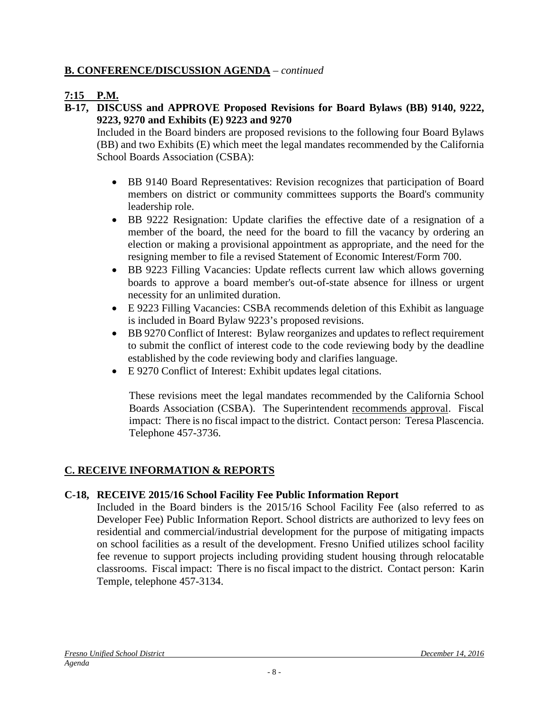## **B. CONFERENCE/DISCUSSION AGENDA** – *continued*

## **7:15 P.M.**

## **B-17, DISCUSS and APPROVE Proposed Revisions for Board Bylaws (BB) 9140, 9222, 9223, 9270 and Exhibits (E) 9223 and 9270**

Included in the Board binders are proposed revisions to the following four Board Bylaws (BB) and two Exhibits (E) which meet the legal mandates recommended by the California School Boards Association (CSBA):

- BB 9140 Board Representatives: Revision recognizes that participation of Board members on district or community committees supports the Board's community leadership role.
- BB 9222 Resignation: Update clarifies the effective date of a resignation of a member of the board, the need for the board to fill the vacancy by ordering an election or making a provisional appointment as appropriate, and the need for the resigning member to file a revised Statement of Economic Interest/Form 700.
- BB 9223 Filling Vacancies: Update reflects current law which allows governing boards to approve a board member's out-of-state absence for illness or urgent necessity for an unlimited duration.
- E 9223 Filling Vacancies: CSBA recommends deletion of this Exhibit as language is included in Board Bylaw 9223's proposed revisions.
- BB 9270 Conflict of Interest: Bylaw reorganizes and updates to reflect requirement to submit the conflict of interest code to the code reviewing body by the deadline established by the code reviewing body and clarifies language.
- E 9270 Conflict of Interest: Exhibit updates legal citations.

These revisions meet the legal mandates recommended by the California School Boards Association (CSBA). The Superintendent recommends approval. Fiscal impact: There is no fiscal impact to the district. Contact person: Teresa Plascencia. Telephone 457-3736.

## **C. RECEIVE INFORMATION & REPORTS**

## **C-18, RECEIVE 2015/16 School Facility Fee Public Information Report**

Included in the Board binders is the 2015/16 School Facility Fee (also referred to as Developer Fee) Public Information Report. School districts are authorized to levy fees on residential and commercial/industrial development for the purpose of mitigating impacts on school facilities as a result of the development. Fresno Unified utilizes school facility fee revenue to support projects including providing student housing through relocatable classrooms. Fiscal impact: There is no fiscal impact to the district. Contact person: Karin Temple, telephone 457-3134.